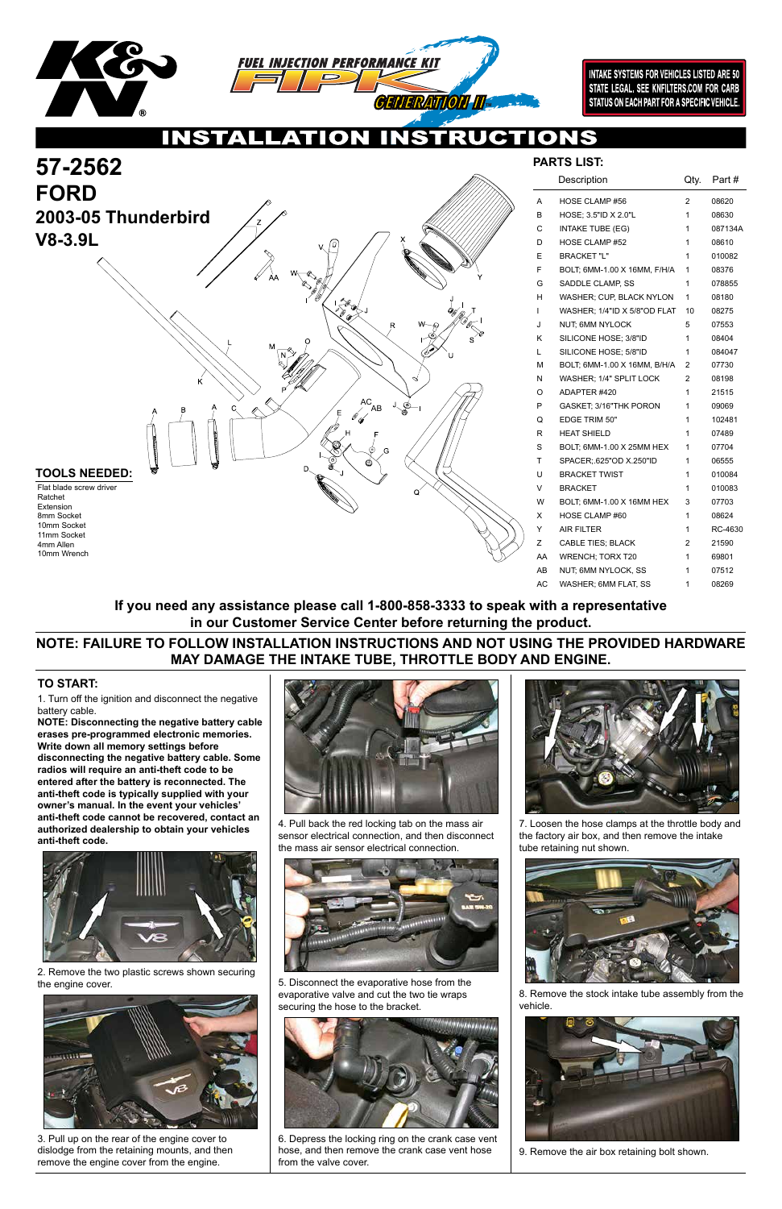



**INTAKE SYSTEMS FOR VEHICLES LISTED ARE 50** STATE LEGAL. SEE KNFILTERS.COM FOR CARB STATUS ON EACH PART FOR A SPECIFIC VEHICLE.

 $\bullet$ 

1. Turn off the ignition and disconnect the negative battery cable.

**NOTE: Disconnecting the negative battery cable erases pre-programmed electronic memories. Write down all memory settings before disconnecting the negative battery cable. Some radios will require an anti-theft code to be entered after the battery is reconnected. The anti-theft code is typically supplied with your owner's manual. In the event your vehicles' anti-theft code cannot be recovered, contact an authorized dealership to obtain your vehicles anti-theft code.**



### **TO START:**



| Description                  | Qty. | Part #  |
|------------------------------|------|---------|
| <b>HOSE CLAMP #56</b>        | 2    | 08620   |
| HOSE; 3.5"ID X 2.0"L         | 1    | 08630   |
| <b>INTAKE TUBE (EG)</b>      | 1    | 087134A |
| <b>HOSE CLAMP #52</b>        | 1    | 08610   |
| <b>BRACKET "L"</b>           | 1    | 010082  |
| BOLT, 6MM-1.00 X 16MM, F/H/A | 1    | 08376   |
| SADDLE CLAMP, SS             | 1    | 078855  |
| WASHER; CUP, BLACK NYLON     | 1    | 08180   |
| WASHER; 1/4"ID X 5/8"OD FLAT | 10   | 08275   |
| NUT, 6MM NYLOCK              | 5    | 07553   |
| SILICONE HOSE; 3/8"ID        | 1    | 08404   |
| SILICONE HOSE; 5/8"ID        | 1    | 084047  |
| BOLT, 6MM-1.00 X 16MM, B/H/A | 2    | 07730   |
| WASHER; 1/4" SPLIT LOCK      | 2    | 08198   |
| ADAPTER #420                 | 1    | 21515   |
| GASKET; 3/16"THK PORON       | 1    | 09069   |
| <b>EDGE TRIM 50"</b>         | 1    | 102481  |
| <b>HEAT SHIELD</b>           | 1    | 07489   |
| BOLT, 6MM-1.00 X 25MM HEX    | 1    | 07704   |
| SPACER: 625"OD X.250"ID      | 1    | 06555   |
| <b>BRACKET TWIST</b>         | 1    | 010084  |
| <b>BRACKET</b>               | 1    | 010083  |
| BOLT, 6MM-1.00 X 16MM HEX    | 3    | 07703   |
| HOSE CLAMP #60               | 1    | 08624   |
| <b>AIR FILTER</b>            | 1    | RC-4630 |
| <b>CABLE TIES; BLACK</b>     | 2    | 21590   |
| <b>WRENCH; TORX T20</b>      | 1    | 69801   |
| NUT, 6MM NYLOCK, SS          | 1    | 07512   |
| WASHER; 6MM FLAT, SS         | 1    | 08269   |
|                              |      |         |

2. Remove the two plastic screws shown securing the engine cover.



3. Pull up on the rear of the engine cover to dislodge from the retaining mounts, and then remove the engine cover from the engine.



4. Pull back the red locking tab on the mass air sensor electrical connection, and then disconnect the mass air sensor electrical connection.



5. Disconnect the evaporative hose from the evaporative valve and cut the two tie wraps securing the hose to the bracket.



6. Depress the locking ring on the crank case vent hose, and then remove the crank case vent hose from the valve cover.





7. Loosen the hose clamps at the throttle body and the factory air box, and then remove the intake tube retaining nut shown.



8. Remove the stock intake tube assembly from the vehicle.



9. Remove the air box retaining bolt shown.

## **NOTE: FAILURE TO FOLLOW INSTALLATION INSTRUCTIONS AND NOT USING THE PROVIDED HARDWARE MAY DAMAGE THE INTAKE TUBE, THROTTLE BODY AND ENGINE.**

## **If you need any assistance please call 1-800-858-3333 to speak with a representative in our Customer Service Center before returning the product.**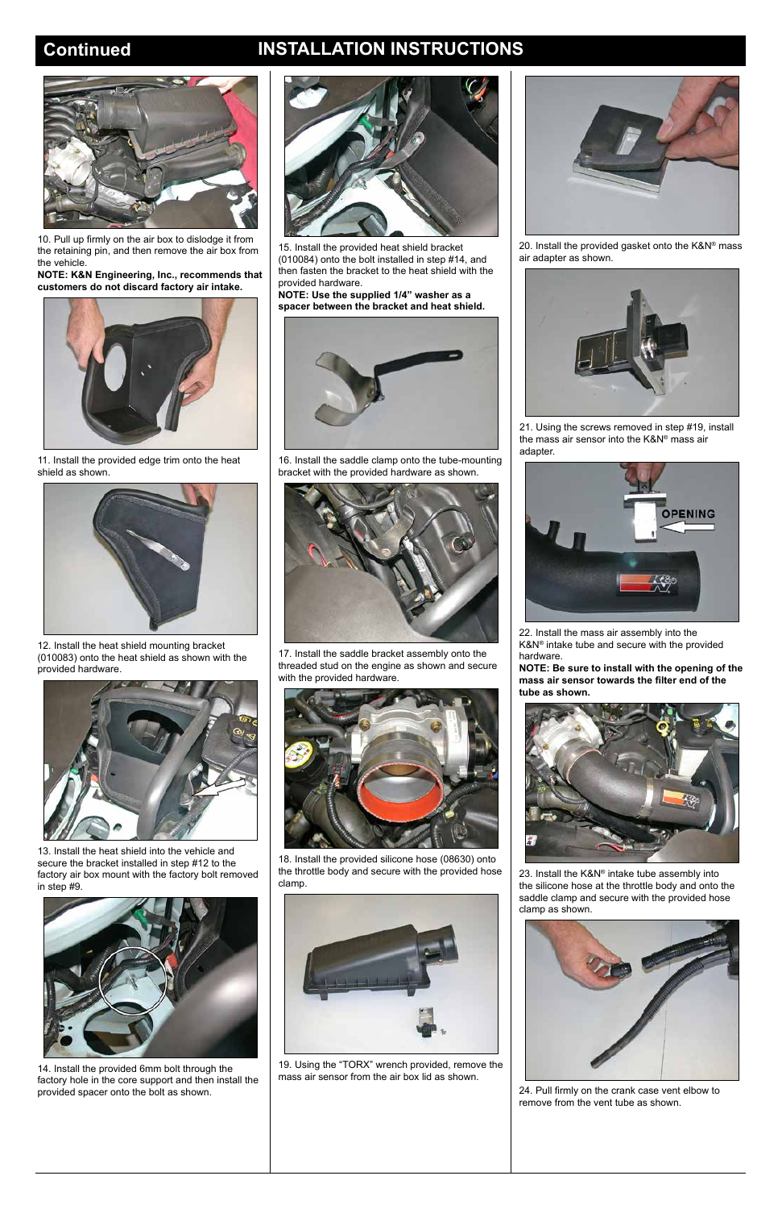# **Continued INSTALLATION INSTRUCTIONS**



10. Pull up firmly on the air box to dislodge it from the retaining pin, and then remove the air box from the vehicle.

**NOTE: K&N Engineering, Inc., recommends that customers do not discard factory air intake.**



11. Install the provided edge trim onto the heat shield as shown.



12. Install the heat shield mounting bracket (010083) onto the heat shield as shown with the provided hardware.



13. Install the heat shield into the vehicle and secure the bracket installed in step #12 to the factory air box mount with the factory bolt removed in step #9.



14. Install the provided 6mm bolt through the factory hole in the core support and then install the provided spacer onto the bolt as shown.



15. Install the provided heat shield bracket (010084) onto the bolt installed in step #14, and then fasten the bracket to the heat shield with the provided hardware.

**NOTE: Use the supplied 1/4" washer as a spacer between the bracket and heat shield.**



16. Install the saddle clamp onto the tube-mounting bracket with the provided hardware as shown.



17. Install the saddle bracket assembly onto the threaded stud on the engine as shown and secure with the provided hardware.



18. Install the provided silicone hose (08630) onto the throttle body and secure with the provided hose clamp.

19. Using the "TORX" wrench provided, remove the mass air sensor from the air box lid as shown.



20. Install the provided gasket onto the K&N® mass air adapter as shown.



21. Using the screws removed in step #19, install the mass air sensor into the K&N® mass air adapter.



22. Install the mass air assembly into the K&N® intake tube and secure with the provided hardware.

**NOTE: Be sure to install with the opening of the mass air sensor towards the filter end of the tube as shown.**



23. Install the K&N® intake tube assembly into the silicone hose at the throttle body and onto the



saddle clamp and secure with the provided hose clamp as shown.



24. Pull firmly on the crank case vent elbow to remove from the vent tube as shown.